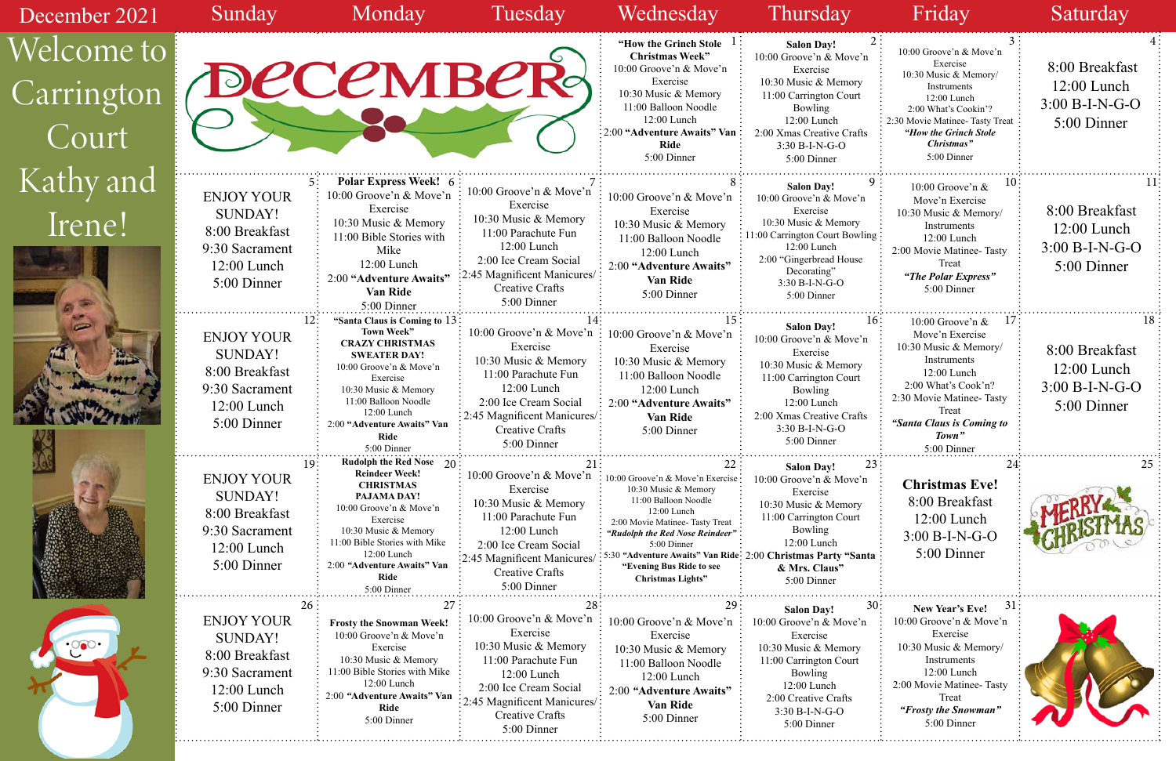| December 2021                     | Sunday                                                                                                      | Monday                                                                                                                                                                                                                                                          | Tuesday                                                                                                                                                                                       | Wednesday                                                                                                                                                                                                                                                                                                              | Thursday                                                                                                                                                                                                      | Friday                                                                                                                                                                                                      | Saturday                                                           |
|-----------------------------------|-------------------------------------------------------------------------------------------------------------|-----------------------------------------------------------------------------------------------------------------------------------------------------------------------------------------------------------------------------------------------------------------|-----------------------------------------------------------------------------------------------------------------------------------------------------------------------------------------------|------------------------------------------------------------------------------------------------------------------------------------------------------------------------------------------------------------------------------------------------------------------------------------------------------------------------|---------------------------------------------------------------------------------------------------------------------------------------------------------------------------------------------------------------|-------------------------------------------------------------------------------------------------------------------------------------------------------------------------------------------------------------|--------------------------------------------------------------------|
| Welcome to<br>Carrington<br>Court |                                                                                                             | <b>DECEMBER</b>                                                                                                                                                                                                                                                 |                                                                                                                                                                                               | "How the Grinch Stole $\perp$ :<br><b>Christmas Week"</b><br>10:00 Groove'n & Move'n<br>Exercise<br>10:30 Music & Memory<br>11:00 Balloon Noodle<br>12:00 Lunch<br>2:00 "Adventure Awaits" Van                                                                                                                         | <b>Salon Day!</b><br>10:00 Groove'n & Move'n<br>Exercise<br>10:30 Music & Memory<br>11:00 Carrington Court<br>Bowling<br>12:00 Lunch<br>2:00 Xmas Creative Crafts                                             | 10:00 Groove'n & Move'n<br>Exercise<br>10:30 Music & Memory/<br>Instruments<br>12:00 Lunch<br>2:00 What's Cookin'?<br>2:30 Movie Matinee- Tasty Treat<br>"How the Grinch Stole                              | 8:00 Breakfast<br>$12:00$ Lunch<br>$3:00 B-I-N-G-O$<br>5:00 Dinner |
|                                   |                                                                                                             |                                                                                                                                                                                                                                                                 |                                                                                                                                                                                               | Ride<br>5:00 Dinner                                                                                                                                                                                                                                                                                                    | 3:30 B-I-N-G-O<br>5:00 Dinner                                                                                                                                                                                 | Christmas"<br>5:00 Dinner                                                                                                                                                                                   |                                                                    |
| Kathy and<br>Irene!               | <b>ENJOY YOUR</b><br><b>SUNDAY!</b><br>8:00 Breakfast<br>9:30 Sacrament<br>12:00 Lunch<br>5:00 Dinner       | <b>Polar Express Week! 6</b><br>10:00 Groove'n & Move'n<br>Exercise<br>10:30 Music & Memory<br>11:00 Bible Stories with<br>Mike<br>12:00 Lunch<br>2:00 "Adventure Awaits"<br><b>Van Ride</b><br>5:00 Dinner                                                     | 10:00 Groove'n & Move'n<br>Exercise<br>10:30 Music & Memory<br>11:00 Parachute Fun<br>$12:00$ Lunch<br>2:00 Ice Cream Social<br>2:45 Magnificent Manicures/<br>Creative Crafts<br>5:00 Dinner | 10:00 Groove'n & Move'n<br>Exercise<br>10:30 Music & Memory<br>11:00 Balloon Noodle<br>$12:00$ Lunch<br>2:00 "Adventure Awaits"<br><b>Van Ride</b><br>5:00 Dinner                                                                                                                                                      | <b>Salon Day!</b><br>10:00 Groove'n & Move'n<br>Exercise<br>10:30 Music & Memory<br>11:00 Carrington Court Bowling<br>12:00 Lunch<br>2:00 "Gingerbread House"<br>Decorating"<br>3:30 B-I-N-G-O<br>5:00 Dinner | 10:00 Groove'n &<br>Move'n Exercise<br>10:30 Music & Memory/<br>Instruments<br>12:00 Lunch<br>2:00 Movie Matinee-Tasty<br>Treat<br>"The Polar Express"<br>5:00 Dinner                                       | 8:00 Breakfast<br>$12:00$ Lunch<br>$3:00 B-I-N-G-O$<br>5:00 Dinner |
| $\overline{ }$                    | <b>ENJOY YOUR</b><br><b>SUNDAY!</b><br>8:00 Breakfast<br>9:30 Sacrament<br>$12:00$ Lunch<br>5:00 Dinner     | "Santa Claus is Coming to 13<br>Town Week"<br><b>CRAZY CHRISTMAS</b><br><b>SWEATER DAY!</b><br>10:00 Groove'n & Move'n<br>Exercise<br>10:30 Music & Memory<br>11:00 Balloon Noodle<br>12:00 Lunch<br>2:00 "Adventure Awaits" Van<br>Ride<br>5:00 Dinner         | 10:00 Groove'n & Move'n<br>Exercise<br>10:30 Music & Memory<br>11:00 Parachute Fun<br>12:00 Lunch<br>2:00 Ice Cream Social<br>2:45 Magnificent Manicures/:<br>Creative Crafts<br>5:00 Dinner  | 10:00 Groove'n & Move'n<br>Exercise<br>10:30 Music & Memory<br>11:00 Balloon Noodle<br>12:00 Lunch<br>2:00 "Adventure Awaits"<br>Van Ride<br>5:00 Dinner                                                                                                                                                               | 16 ·<br><b>Salon Day!</b><br>10:00 Groove'n & Move'n<br>Exercise<br>10:30 Music & Memory<br>11:00 Carrington Court<br>Bowling<br>12:00 Lunch<br>2:00 Xmas Creative Crafts<br>$3:30 B-I-N-G-O$<br>5:00 Dinner  | 10:00 Groove'n &<br>Move'n Exercise<br>10:30 Music & Memory/<br>Instruments<br>12:00 Lunch<br>2:00 What's Cook'n?<br>2:30 Movie Matinee-Tasty<br>Treat<br>"Santa Claus is Coming to<br>Town"<br>5:00 Dinner | 8:00 Breakfast<br>$12:00$ Lunch<br>$3:00 B-I-N-G-O$<br>5:00 Dinner |
|                                   | 19:<br><b>ENJOY YOUR</b><br>SUNDAY!<br>8:00 Breakfast<br>9:30 Sacrament<br>$12:00$ Lunch<br>5:00 Dinner     | <b>Rudolph the Red Nose</b> 20<br><b>Reindeer Week!</b><br><b>CHRISTMAS</b><br>PAJAMA DAY!<br>10:00 Groove'n & Move'n<br>Exercise<br>10:30 Music & Memory<br>11:00 Bible Stories with Mike<br>12:00 Lunch<br>2:00 "Adventure Awaits" Van<br>Ride<br>5:00 Dinner | 10:00 Groove'n & Move'n<br>Exercise<br>10:30 Music & Memory<br>11:00 Parachute Fun<br>$12:00$ Lunch<br>2:00 Ice Cream Social<br>2:45 Magnificent Manicures<br>Creative Crafts<br>5:00 Dinner  | $\cdot$ 10:00 Groove'n & Move'n Exercise:<br>10:30 Music & Memory<br>11:00 Balloon Noodle<br>12:00 Lunch<br>2:00 Movie Matinee- Tasty Treat<br>"Rudolph the Red Nose Reindeer"<br>5:00 Dinner<br>5:30 "Adventure Awaits" Van Ride: 2:00 Christmas Party "Santa<br>"Evening Bus Ride to see<br><b>Christmas Lights"</b> | <b>Salon Day!</b><br>10:00 Groove'n & Move'n<br>Exercise<br>10:30 Music & Memory<br>11:00 Carrington Court<br>Bowling<br>12:00 Lunch<br>& Mrs. Claus"<br>5:00 Dinner                                          | <b>Christmas Eve!</b><br>8:00 Breakfast<br>$12:00$ Lunch<br>$3:00 B-I-N-G-O$<br>5:00 Dinner                                                                                                                 |                                                                    |
|                                   | 26<br><b>ENJOY YOUR</b><br><b>SUNDAY!</b><br>8:00 Breakfast<br>9:30 Sacrament<br>12:00 Lunch<br>5:00 Dinner | 27<br><b>Frosty the Snowman Week!</b><br>10:00 Groove'n & Move'n<br>Exercise<br>10:30 Music & Memory<br>11:00 Bible Stories with Mike<br>12:00 Lunch<br>2:00 "Adventure Awaits" Van<br><b>Ride</b><br>5:00 Dinner                                               | 10:00 Groove'n & Move'n<br>Exercise<br>10:30 Music & Memory<br>11:00 Parachute Fun<br>12:00 Lunch<br>2:00 Ice Cream Social<br>2:45 Magnificent Manicures/:<br>Creative Crafts<br>5:00 Dinner  | 10:00 Groove'n & Move'n<br>Exercise<br>10:30 Music & Memory<br>11:00 Balloon Noodle<br>12:00 Lunch<br>2:00 "Adventure Awaits"<br><b>Van Ride</b><br>5:00 Dinner                                                                                                                                                        | 30:<br><b>Salon Day!</b><br>10:00 Groove'n & Move'n<br>Exercise<br>10:30 Music & Memory<br>11:00 Carrington Court<br>Bowling<br>12:00 Lunch<br>2:00 Creative Crafts<br>3:30 B-I-N-G-O<br>5:00 Dinner          | 31<br>New Year's Eve!<br>10:00 Groove'n & Move'n<br>Exercise<br>10:30 Music & Memory/<br>Instruments<br>12:00 Lunch<br>2:00 Movie Matinee-Tasty<br>Treat<br>"Frosty the Snowman"<br>5:00 Dinner             |                                                                    |

| 2               | 3                                                       | 4                |
|-----------------|---------------------------------------------------------|------------------|
| $\cdot$ 'n      | 10:00 Groove'n & Move'n                                 |                  |
|                 | Exercise<br>10:30 Music & Memory/                       | 8:00 Breakfast   |
|                 | Instruments                                             | $12:00$ Lunch    |
|                 | 12:00 Lunch                                             | $3:00 B-I-N-G-O$ |
|                 | 2:00 What's Cookin'?<br>2:30 Movie Matinee- Tasty Treat | 5:00 Dinner      |
| fts             | "How the Grinch Stole                                   |                  |
|                 | Christmas"                                              |                  |
|                 | 5:00 Dinner                                             |                  |
| 9               | 10                                                      | 11               |
| 'n              | 10:00 Groove'n &                                        |                  |
|                 | Move'n Exercise<br>10:30 Music & Memory/                | 8:00 Breakfast   |
|                 | Instruments                                             | $12:00$ Lunch    |
| vling           | $12:00$ Lunch                                           |                  |
|                 | 2:00 Movie Matinee-Tasty                                | $3:00 B-I-N-G-O$ |
| e               | Treat                                                   | 5:00 Dinner      |
|                 | "The Polar Express"<br>5:00 Dinner                      |                  |
|                 |                                                         |                  |
| 16 <sup>3</sup> | 17                                                      | 18               |
|                 | 10:00 Groove'n &<br>Move'n Exercise                     |                  |
| $\cdot$ 'n      | 10:30 Music & Memory/                                   | 8:00 Breakfast   |
|                 | Instruments                                             |                  |
|                 | 12:00 Lunch                                             | $12:00$ Lunch    |
|                 | 2:00 What's Cook'n?                                     | $3:00 B-I-N-G-O$ |
|                 | 2:30 Movie Matinee-Tasty<br>Treat                       | 5:00 Dinner      |
| fts             | "Santa Claus is Coming to                               |                  |
|                 | Town"                                                   |                  |
|                 | 5:00 Dinner                                             |                  |
| 23              | 24:                                                     | 25               |
| n               | <b>Christmas Eve!</b>                                   |                  |
|                 | 8:00 Breakfast                                          |                  |
|                 | $12:00$ Lunch                                           |                  |
|                 | 3:00 B-I-N-G-O                                          |                  |
|                 |                                                         |                  |
| ınta            | 5:00 Dinner                                             |                  |
|                 |                                                         |                  |
|                 |                                                         |                  |
| 30:             | 31<br>New Year's Eve!                                   |                  |
| 'n              | 10:00 Groove'n & Move'n                                 |                  |
|                 | Exercise                                                |                  |
|                 | 10:30 Music & Memory/                                   |                  |
|                 | Instruments<br>12:00 Lunch                              |                  |
|                 | 2:00 Movie Matinee-Tasty                                |                  |
|                 | Treat                                                   |                  |
|                 | "Frosty the Snowman"                                    |                  |
|                 | 5:00 Dinner                                             |                  |
|                 |                                                         |                  |